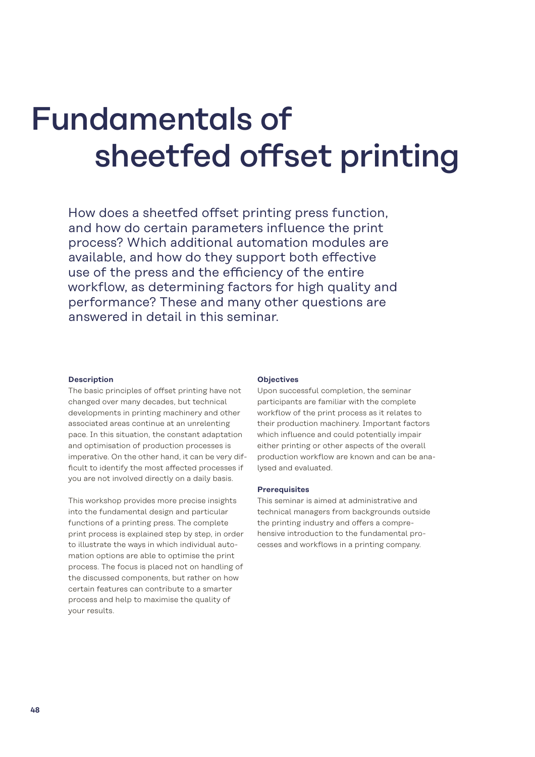# Fundamentals of sheetfed offset printing

How does a sheetfed offset printing press function. and how do certain parameters influence the print process? Which additional automation modules are available, and how do they support both effective use of the press and the efficiency of the entire workflow, as determining factors for high quality and performance? These and many other questions are answered in detail in this seminar.

### **Description**

The basic principles of offset printing have not changed over many decades, but technical developments in printing machinery and other associated areas continue at an unrelenting pace. In this situation, the constant adaptation and optimisation of production processes is imperative. On the other hand, it can be very difficult to identify the most affected processes if you are not involved directly on a daily basis.

This workshop provides more precise insights into the fundamental design and particular functions of a printing press. The complete print process is explained step by step, in order to illustrate the ways in which individual automation options are able to optimise the print process. The focus is placed not on handling of the discussed components, but rather on how certain features can contribute to a smarter process and help to maximise the quality of your results.

### **Objectives**

Upon successful completion, the seminar participants are familiar with the complete workflow of the print process as it relates to their production machinery. Important factors which influence and could potentially impair either printing or other aspects of the overall production workflow are known and can be analysed and evaluated.

### **Prerequisites**

This seminar is aimed at administrative and technical managers from backgrounds outside the printing industry and offers a comprehensive introduction to the fundamental processes and workflows in a printing company.